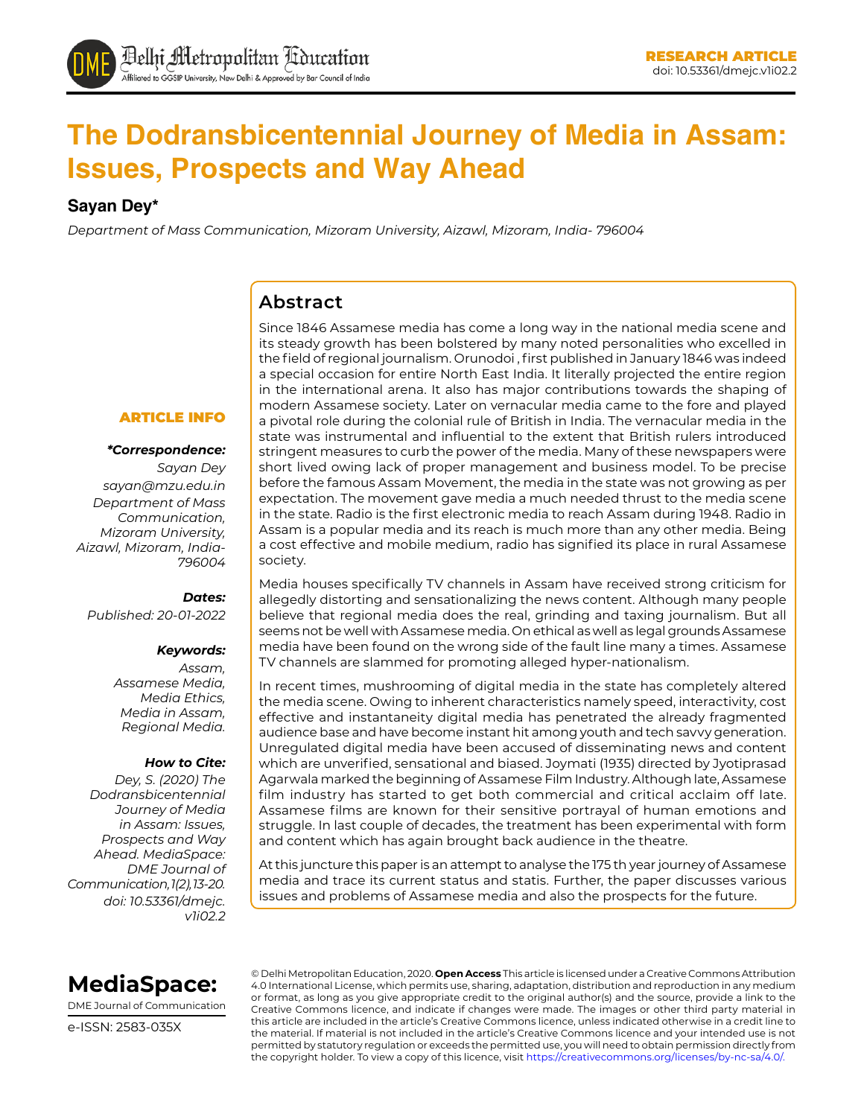# **The Dodransbicentennial Journey of Media in Assam: Issues, Prospects and Way Ahead**

#### **Sayan Dey\***

*Department of Mass Communication, Mizoram University, Aizawl, Mizoram, India- 796004*

### **Abstract**

Since 1846 Assamese media has come a long way in the national media scene and its steady growth has been bolstered by many noted personalities who excelled in the field of regional journalism. Orunodoi , first published in January 1846 was indeed a special occasion for entire North East India. It literally projected the entire region in the international arena. It also has major contributions towards the shaping of modern Assamese society. Later on vernacular media came to the fore and played a pivotal role during the colonial rule of British in India. The vernacular media in the state was instrumental and influential to the extent that British rulers introduced stringent measures to curb the power of the media. Many of these newspapers were short lived owing lack of proper management and business model. To be precise before the famous Assam Movement, the media in the state was not growing as per expectation. The movement gave media a much needed thrust to the media scene in the state. Radio is the first electronic media to reach Assam during 1948. Radio in Assam is a popular media and its reach is much more than any other media. Being a cost effective and mobile medium, radio has signified its place in rural Assamese society.

#### Media houses specifically TV channels in Assam have received strong criticism for allegedly distorting and sensationalizing the news content. Although many people believe that regional media does the real, grinding and taxing journalism. But all seems not be well with Assamese media. On ethical as well as legal grounds Assamese media have been found on the wrong side of the fault line many a times. Assamese TV channels are slammed for promoting alleged hyper-nationalism.

In recent times, mushrooming of digital media in the state has completely altered the media scene. Owing to inherent characteristics namely speed, interactivity, cost effective and instantaneity digital media has penetrated the already fragmented audience base and have become instant hit among youth and tech savvy generation. Unregulated digital media have been accused of disseminating news and content which are unverified, sensational and biased. Joymati (1935) directed by Jyotiprasad Agarwala marked the beginning of Assamese Film Industry. Although late, Assamese film industry has started to get both commercial and critical acclaim off late. Assamese films are known for their sensitive portrayal of human emotions and struggle. In last couple of decades, the treatment has been experimental with form and content which has again brought back audience in the theatre.

At this juncture this paper is an attempt to analyse the 175 th year journey of Assamese media and trace its current status and statis. Further, the paper discusses various issues and problems of Assamese media and also the prospects for the future.

#### ARTICLE INFO

#### *\*Correspondence:*

*Sayan Dey [sayan@mzu.edu.in](mailto:sayan@mzu.edu.in) Department of Mass Communication, Mizoram University, Aizawl, Mizoram, India-796004*

#### *Dates:*

*Published: 20-01-2022*

#### *Keywords:*

*Assam, Assamese Media, Media Ethics, Media in Assam, Regional Media.*

#### *How to Cite:*

*Dey, S. (2020) The Dodransbicentennial Journey of Media in Assam: Issues, Prospects and Way Ahead. MediaSpace: DME Journal of Communication, 1(2), 13-20. doi: 10.53361/dmejc. v1i02.2*



DME Journal of Communication

e-ISSN: 2583-035X

© Delhi Metropolitan Education, 2020. **Open Access** This article is licensed under a Creative Commons Attribution 4.0 International License, which permits use, sharing, adaptation, distribution and reproduction in any medium or format, as long as you give appropriate credit to the original author(s) and the source, provide a link to the Creative Commons licence, and indicate if changes were made. The images or other third party material in this article are included in the article's Creative Commons licence, unless indicated otherwise in a credit line to the material. If material is not included in the article's Creative Commons licence and your intended use is not permitted by statutory regulation or exceeds the permitted use, you will need to obtain permission directly from the copyright holder. To view a copy of this licence, visit https://creativecommons.org/licenses/by-nc-sa/4.0/.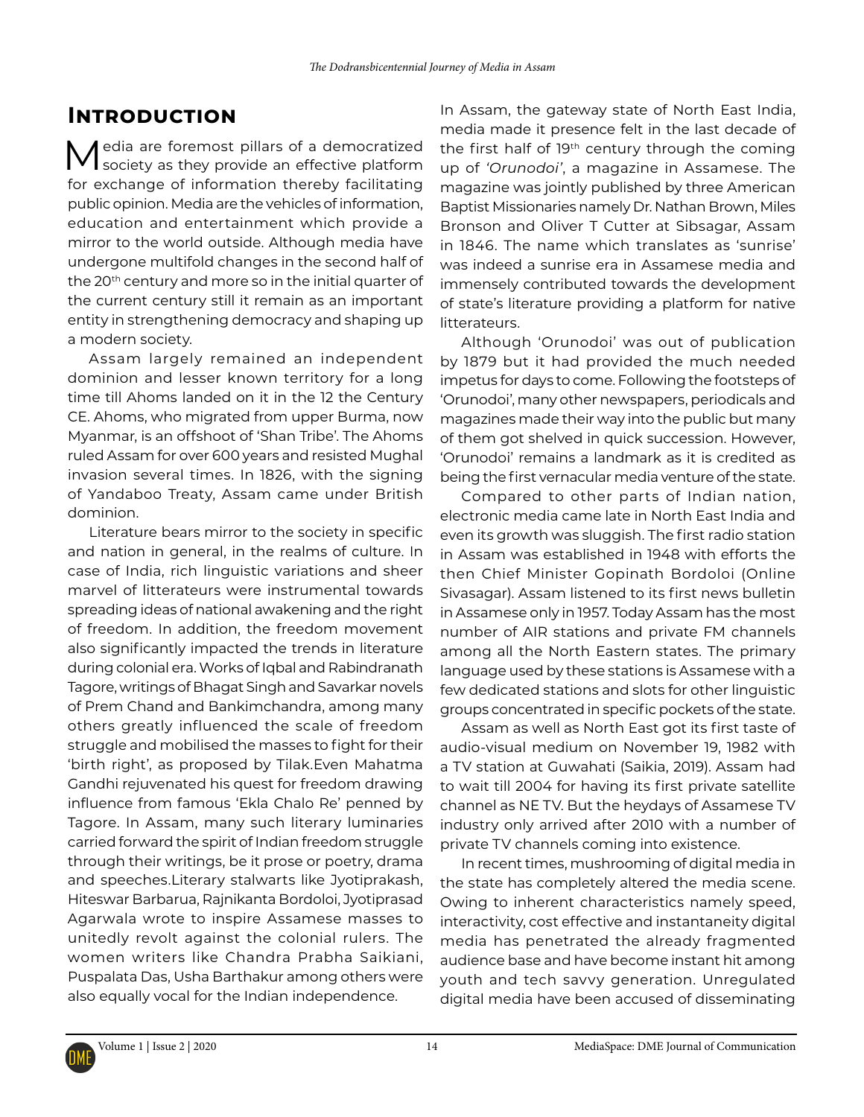## **Introduction**

Media are foremost pillars of a democratized society as they provide an effective platform for exchange of information thereby facilitating public opinion. Media are the vehicles of information, education and entertainment which provide a mirror to the world outside. Although media have undergone multifold changes in the second half of the 20<sup>th</sup> century and more so in the initial quarter of the current century still it remain as an important entity in strengthening democracy and shaping up a modern society.

Assam largely remained an independent dominion and lesser known territory for a long time till Ahoms landed on it in the 12 the Century CE. Ahoms, who migrated from upper Burma, now Myanmar, is an offshoot of 'Shan Tribe'. The Ahoms ruled Assam for over 600 years and resisted Mughal invasion several times. In 1826, with the signing of Yandaboo Treaty, Assam came under British dominion.

Literature bears mirror to the society in specific and nation in general, in the realms of culture. In case of India, rich linguistic variations and sheer marvel of litterateurs were instrumental towards spreading ideas of national awakening and the right of freedom. In addition, the freedom movement also significantly impacted the trends in literature during colonial era. Works of Iqbal and Rabindranath Tagore, writings of Bhagat Singh and Savarkar novels of Prem Chand and Bankimchandra, among many others greatly influenced the scale of freedom struggle and mobilised the masses to fight for their 'birth right', as proposed by Tilak.Even Mahatma Gandhi rejuvenated his quest for freedom drawing influence from famous 'Ekla Chalo Re' penned by Tagore. In Assam, many such literary luminaries carried forward the spirit of Indian freedom struggle through their writings, be it prose or poetry, drama and speeches.Literary stalwarts like Jyotiprakash, Hiteswar Barbarua, Rajnikanta Bordoloi, Jyotiprasad Agarwala wrote to inspire Assamese masses to unitedly revolt against the colonial rulers. The women writers like Chandra Prabha Saikiani, Puspalata Das, Usha Barthakur among others were also equally vocal for the Indian independence.

In Assam, the gateway state of North East India, media made it presence felt in the last decade of the first half of  $19<sup>th</sup>$  century through the coming up of *'Orunodoi'*, a magazine in Assamese. The magazine was jointly published by three American Baptist Missionaries namely Dr. Nathan Brown, Miles Bronson and Oliver T Cutter at Sibsagar, Assam in 1846. The name which translates as 'sunrise' was indeed a sunrise era in Assamese media and immensely contributed towards the development of state's literature providing a platform for native litterateurs.

Although 'Orunodoi' was out of publication by 1879 but it had provided the much needed impetus for days to come. Following the footsteps of 'Orunodoi', many other newspapers, periodicals and magazines made their way into the public but many of them got shelved in quick succession. However, 'Orunodoi' remains a landmark as it is credited as being the first vernacular media venture of the state.

Compared to other parts of Indian nation, electronic media came late in North East India and even its growth was sluggish. The first radio station in Assam was established in 1948 with efforts the then Chief Minister Gopinath Bordoloi (Online Sivasagar). Assam listened to its first news bulletin in Assamese only in 1957. Today Assam has the most number of AIR stations and private FM channels among all the North Eastern states. The primary language used by these stations is Assamese with a few dedicated stations and slots for other linguistic groups concentrated in specific pockets of the state.

Assam as well as North East got its first taste of audio-visual medium on November 19, 1982 with a TV station at Guwahati (Saikia, 2019). Assam had to wait till 2004 for having its first private satellite channel as NE TV. But the heydays of Assamese TV industry only arrived after 2010 with a number of private TV channels coming into existence.

In recent times, mushrooming of digital media in the state has completely altered the media scene. Owing to inherent characteristics namely speed, interactivity, cost effective and instantaneity digital media has penetrated the already fragmented audience base and have become instant hit among youth and tech savvy generation. Unregulated digital media have been accused of disseminating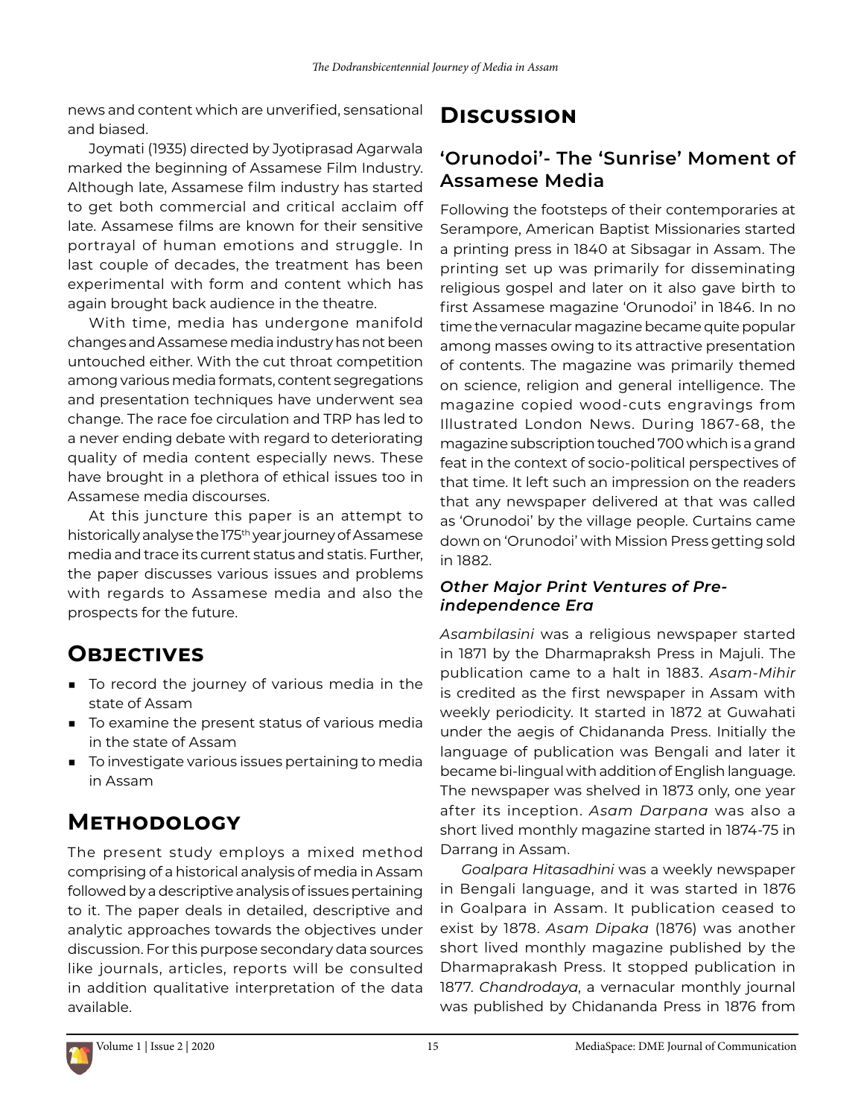news and content which are unverified, sensational and biased.

Joymati (1935) directed by Jyotiprasad Agarwala marked the beginning of Assamese Film Industry. Although late, Assamese film industry has started to get both commercial and critical acclaim off late. Assamese films are known for their sensitive portrayal of human emotions and struggle. In last couple of decades, the treatment has been experimental with form and content which has again brought back audience in the theatre.

With time, media has undergone manifold changes and Assamese media industry has not been untouched either. With the cut throat competition among various media formats, content segregations and presentation techniques have underwent sea change. The race foe circulation and TRP has led to a never ending debate with regard to deteriorating quality of media content especially news. These have brought in a plethora of ethical issues too in Assamese media discourses.

At this juncture this paper is an attempt to historically analyse the 175<sup>th</sup> year journey of Assamese media and trace its current status and statis. Further, the paper discusses various issues and problems with regards to Assamese media and also the prospects for the future.

# **Objectives**

- To record the journey of various media in the state of Assam
- To examine the present status of various media in the state of Assam
- To investigate various issues pertaining to media in Assam

## **Methodology**

The present study employs a mixed method comprising of a historical analysis of media in Assam followed by a descriptive analysis of issues pertaining to it. The paper deals in detailed, descriptive and analytic approaches towards the objectives under discussion. For this purpose secondary data sources like journals, articles, reports will be consulted in addition qualitative interpretation of the data available.

## **Discussion**

### **'Orunodoi'- The 'Sunrise' Moment of Assamese Media**

Following the footsteps of their contemporaries at Serampore, American Baptist Missionaries started a printing press in 1840 at Sibsagar in Assam. The printing set up was primarily for disseminating religious gospel and later on it also gave birth to first Assamese magazine 'Orunodoi' in 1846. In no time the vernacular magazine became quite popular among masses owing to its attractive presentation of contents. The magazine was primarily themed on science, religion and general intelligence. The magazine copied wood-cuts engravings from Illustrated London News. During 1867-68, the magazine subscription touched 700 which is a grand feat in the context of socio-political perspectives of that time. It left such an impression on the readers that any newspaper delivered at that was called as 'Orunodoi' by the village people. Curtains came down on 'Orunodoi' with Mission Press getting sold in 1882.

### *Other Major Print Ventures of Preindependence Era*

*Asambilasini* was a religious newspaper started in 1871 by the Dharmapraksh Press in Majuli. The publication came to a halt in 1883. *Asam-Mihir* is credited as the first newspaper in Assam with weekly periodicity. It started in 1872 at Guwahati under the aegis of Chidananda Press. Initially the language of publication was Bengali and later it became bi-lingual with addition of English language. The newspaper was shelved in 1873 only, one year after its inception. *Asam Darpana* was also a short lived monthly magazine started in 1874-75 in Darrang in Assam.

*Goalpara Hitasadhini* was a weekly newspaper in Bengali language, and it was started in 1876 in Goalpara in Assam. It publication ceased to exist by 1878. *Asam Dipaka* (1876) was another short lived monthly magazine published by the Dharmaprakash Press. It stopped publication in 1877. *Chandrodaya*, a vernacular monthly journal was published by Chidananda Press in 1876 from

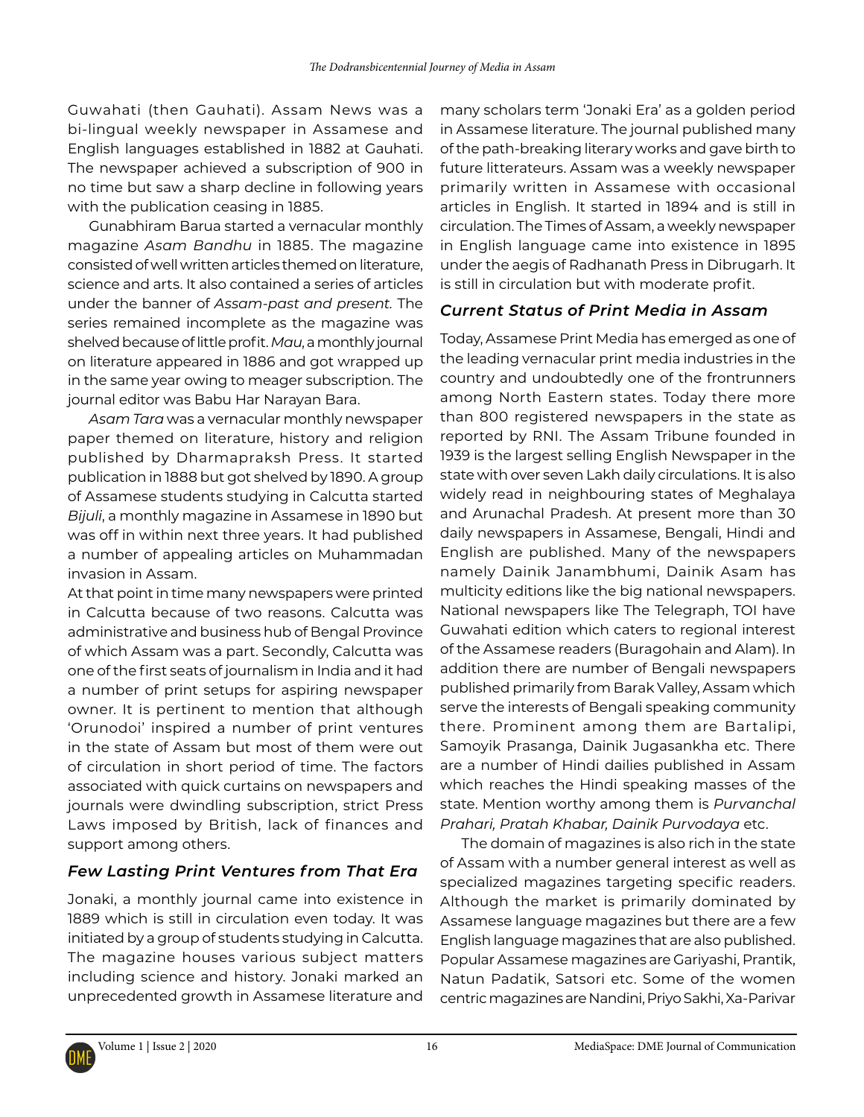Guwahati (then Gauhati). Assam News was a bi-lingual weekly newspaper in Assamese and English languages established in 1882 at Gauhati. The newspaper achieved a subscription of 900 in no time but saw a sharp decline in following years with the publication ceasing in 1885.

Gunabhiram Barua started a vernacular monthly magazine *Asam Bandhu* in 1885. The magazine consisted of well written articles themed on literature, science and arts. It also contained a series of articles under the banner of *Assam-past and present.* The series remained incomplete as the magazine was shelved because of little profit. *Mau*, a monthly journal on literature appeared in 1886 and got wrapped up in the same year owing to meager subscription. The journal editor was Babu Har Narayan Bara.

*Asam Tara* was a vernacular monthly newspaper paper themed on literature, history and religion published by Dharmapraksh Press. It started publication in 1888 but got shelved by 1890. A group of Assamese students studying in Calcutta started *Bijuli*, a monthly magazine in Assamese in 1890 but was off in within next three years. It had published a number of appealing articles on Muhammadan invasion in Assam.

At that point in time many newspapers were printed in Calcutta because of two reasons. Calcutta was administrative and business hub of Bengal Province of which Assam was a part. Secondly, Calcutta was one of the first seats of journalism in India and it had a number of print setups for aspiring newspaper owner. It is pertinent to mention that although 'Orunodoi' inspired a number of print ventures in the state of Assam but most of them were out of circulation in short period of time. The factors associated with quick curtains on newspapers and journals were dwindling subscription, strict Press Laws imposed by British, lack of finances and support among others.

### *Few Lasting Print Ventures from That Era*

Jonaki, a monthly journal came into existence in 1889 which is still in circulation even today. It was initiated by a group of students studying in Calcutta. The magazine houses various subject matters including science and history. Jonaki marked an unprecedented growth in Assamese literature and

many scholars term 'Jonaki Era' as a golden period in Assamese literature. The journal published many of the path-breaking literary works and gave birth to future litterateurs. Assam was a weekly newspaper primarily written in Assamese with occasional articles in English. It started in 1894 and is still in circulation. The Times of Assam, a weekly newspaper in English language came into existence in 1895 under the aegis of Radhanath Press in Dibrugarh. It is still in circulation but with moderate profit.

### *Current Status of Print Media in Assam*

Today, Assamese Print Media has emerged as one of the leading vernacular print media industries in the country and undoubtedly one of the frontrunners among North Eastern states. Today there more than 800 registered newspapers in the state as reported by RNI. The Assam Tribune founded in 1939 is the largest selling English Newspaper in the state with over seven Lakh daily circulations. It is also widely read in neighbouring states of Meghalaya and Arunachal Pradesh. At present more than 30 daily newspapers in Assamese, Bengali, Hindi and English are published. Many of the newspapers namely Dainik Janambhumi, Dainik Asam has multicity editions like the big national newspapers. National newspapers like The Telegraph, TOI have Guwahati edition which caters to regional interest of the Assamese readers (Buragohain and Alam). In addition there are number of Bengali newspapers published primarily from Barak Valley, Assam which serve the interests of Bengali speaking community there. Prominent among them are Bartalipi, Samoyik Prasanga, Dainik Jugasankha etc. There are a number of Hindi dailies published in Assam which reaches the Hindi speaking masses of the state. Mention worthy among them is *Purvanchal Prahari, Pratah Khabar, Dainik Purvodaya* etc.

The domain of magazines is also rich in the state of Assam with a number general interest as well as specialized magazines targeting specific readers. Although the market is primarily dominated by Assamese language magazines but there are a few English language magazines that are also published. Popular Assamese magazines are Gariyashi, Prantik, Natun Padatik, Satsori etc. Some of the women centric magazines are Nandini, Priyo Sakhi, Xa-Parivar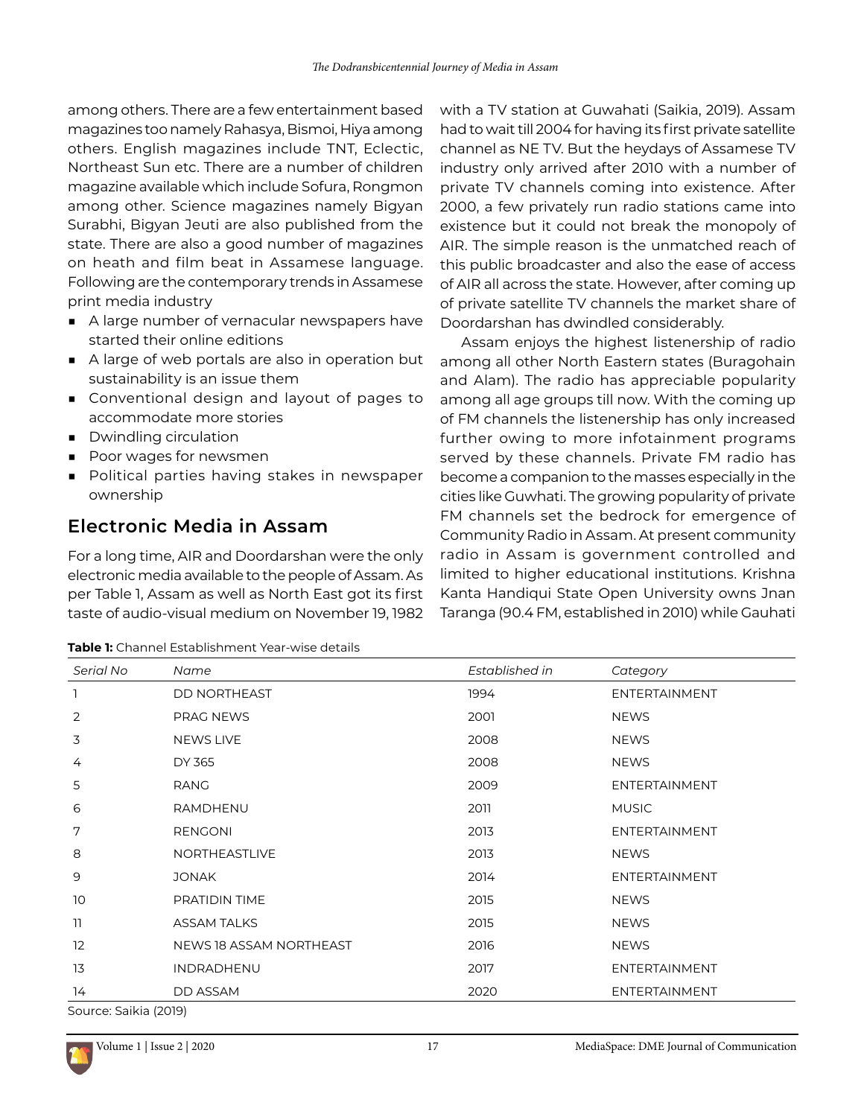among others. There are a few entertainment based magazines too namely Rahasya, Bismoi, Hiya among others. English magazines include TNT, Eclectic, Northeast Sun etc. There are a number of children magazine available which include Sofura, Rongmon among other. Science magazines namely Bigyan Surabhi, Bigyan Jeuti are also published from the state. There are also a good number of magazines on heath and film beat in Assamese language. Following are the contemporary trends in Assamese print media industry

- A large number of vernacular newspapers have started their online editions
- A large of web portals are also in operation but sustainability is an issue them
- Conventional design and layout of pages to accommodate more stories
- Dwindling circulation
- Poor wages for newsmen
- Political parties having stakes in newspaper ownership

### **Electronic Media in Assam**

For a long time, AIR and Doordarshan were the only electronic media available to the people of Assam. As per Table 1, Assam as well as North East got its first taste of audio-visual medium on November 19, 1982

with a TV station at Guwahati (Saikia, 2019). Assam had to wait till 2004 for having its first private satellite channel as NE TV. But the heydays of Assamese TV industry only arrived after 2010 with a number of private TV channels coming into existence. After 2000, a few privately run radio stations came into existence but it could not break the monopoly of AIR. The simple reason is the unmatched reach of this public broadcaster and also the ease of access of AIR all across the state. However, after coming up of private satellite TV channels the market share of Doordarshan has dwindled considerably.

Assam enjoys the highest listenership of radio among all other North Eastern states (Buragohain and Alam). The radio has appreciable popularity among all age groups till now. With the coming up of FM channels the listenership has only increased further owing to more infotainment programs served by these channels. Private FM radio has become a companion to the masses especially in the cities like Guwhati. The growing popularity of private FM channels set the bedrock for emergence of Community Radio in Assam. At present community radio in Assam is government controlled and limited to higher educational institutions. Krishna Kanta Handiqui State Open University owns Jnan Taranga (90.4 FM, established in 2010) while Gauhati

| Serial No      | Name                           | Established in | Category             |
|----------------|--------------------------------|----------------|----------------------|
| 1              | <b>DD NORTHEAST</b>            | 1994           | <b>ENTERTAINMENT</b> |
| $\overline{2}$ | <b>PRAG NEWS</b>               | 2001           | <b>NEWS</b>          |
| 3              | <b>NEWS LIVE</b>               | 2008           | <b>NEWS</b>          |
| 4              | DY 365                         | 2008           | <b>NEWS</b>          |
| 5              | RANG                           | 2009           | <b>ENTERTAINMENT</b> |
| 6              | RAMDHENU                       | 2011           | <b>MUSIC</b>         |
| 7              | <b>RENGONI</b>                 | 2013           | <b>ENTERTAINMENT</b> |
| 8              | <b>NORTHEASTLIVE</b>           | 2013           | <b>NEWS</b>          |
| 9              | <b>JONAK</b>                   | 2014           | <b>ENTERTAINMENT</b> |
| 10             | PRATIDIN TIME                  | 2015           | <b>NEWS</b>          |
| 11             | <b>ASSAM TALKS</b>             | 2015           | <b>NEWS</b>          |
| 12             | <b>NEWS 18 ASSAM NORTHEAST</b> | 2016           | <b>NEWS</b>          |
| 13             | INDRADHENU                     | 2017           | <b>ENTERTAINMENT</b> |
| 14             | DD ASSAM                       | 2020           | <b>ENTERTAINMENT</b> |

**Table 1:** Channel Establishment Year-wise details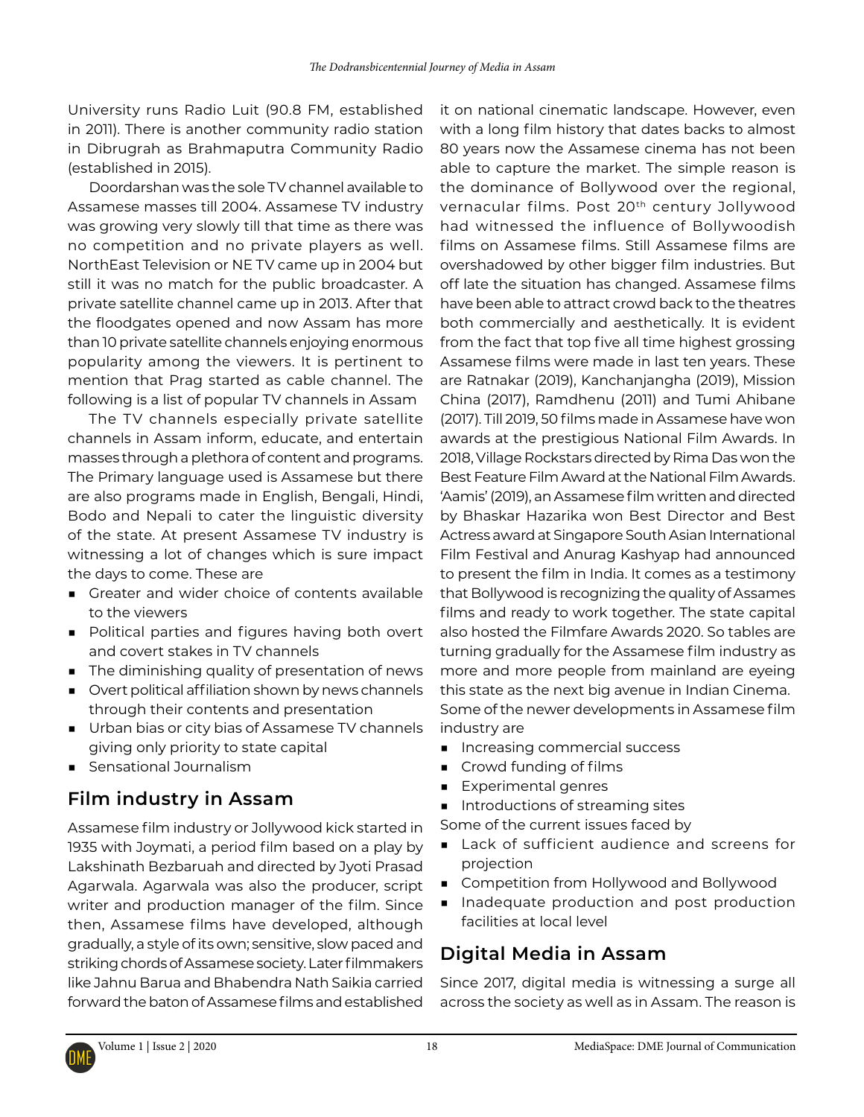University runs Radio Luit (90.8 FM, established in 2011). There is another community radio station in Dibrugrah as Brahmaputra Community Radio (established in 2015).

Doordarshan was the sole TV channel available to Assamese masses till 2004. Assamese TV industry was growing very slowly till that time as there was no competition and no private players as well. NorthEast Television or NE TV came up in 2004 but still it was no match for the public broadcaster. A private satellite channel came up in 2013. After that the floodgates opened and now Assam has more than 10 private satellite channels enjoying enormous popularity among the viewers. It is pertinent to mention that Prag started as cable channel. The following is a list of popular TV channels in Assam

The TV channels especially private satellite channels in Assam inform, educate, and entertain masses through a plethora of content and programs. The Primary language used is Assamese but there are also programs made in English, Bengali, Hindi, Bodo and Nepali to cater the linguistic diversity of the state. At present Assamese TV industry is witnessing a lot of changes which is sure impact the days to come. These are

- Greater and wider choice of contents available to the viewers
- Political parties and figures having both overt and covert stakes in TV channels
- The diminishing quality of presentation of news
- Overt political affiliation shown by news channels through their contents and presentation
- Urban bias or city bias of Assamese TV channels giving only priority to state capital
- Sensational Journalism

### **Film industry in Assam**

Assamese film industry or Jollywood kick started in 1935 with Joymati, a period film based on a play by Lakshinath Bezbaruah and directed by Jyoti Prasad Agarwala. Agarwala was also the producer, script writer and production manager of the film. Since then, Assamese films have developed, although gradually, a style of its own; sensitive, slow paced and striking chords of Assamese society. Later filmmakers like Jahnu Barua and Bhabendra Nath Saikia carried forward the baton of Assamese films and established

it on national cinematic landscape. However, even with a long film history that dates backs to almost 80 years now the Assamese cinema has not been able to capture the market. The simple reason is the dominance of Bollywood over the regional, vernacular films. Post 20th century Jollywood had witnessed the influence of Bollywoodish films on Assamese films. Still Assamese films are overshadowed by other bigger film industries. But off late the situation has changed. Assamese films have been able to attract crowd back to the theatres both commercially and aesthetically. It is evident from the fact that top five all time highest grossing Assamese films were made in last ten years. These are Ratnakar (2019), Kanchanjangha (2019), Mission China (2017), Ramdhenu (2011) and Tumi Ahibane (2017). Till 2019, 50 films made in Assamese have won awards at the prestigious National Film Awards. In 2018, Village Rockstars directed by Rima Das won the Best Feature Film Award at the National Film Awards. 'Aamis' (2019), an Assamese film written and directed by Bhaskar Hazarika won Best Director and Best Actress award at Singapore South Asian International Film Festival and Anurag Kashyap had announced to present the film in India. It comes as a testimony that Bollywood is recognizing the quality of Assames films and ready to work together. The state capital also hosted the Filmfare Awards 2020. So tables are turning gradually for the Assamese film industry as more and more people from mainland are eyeing this state as the next big avenue in Indian Cinema. Some of the newer developments in Assamese film industry are

- Increasing commercial success
- Crowd funding of films
- Experimental genres
- Introductions of streaming sites
- Some of the current issues faced by
- Lack of sufficient audience and screens for projection
- Competition from Hollywood and Bollywood
- Inadequate production and post production facilities at local level

### **Digital Media in Assam**

Since 2017, digital media is witnessing a surge all across the society as well as in Assam. The reason is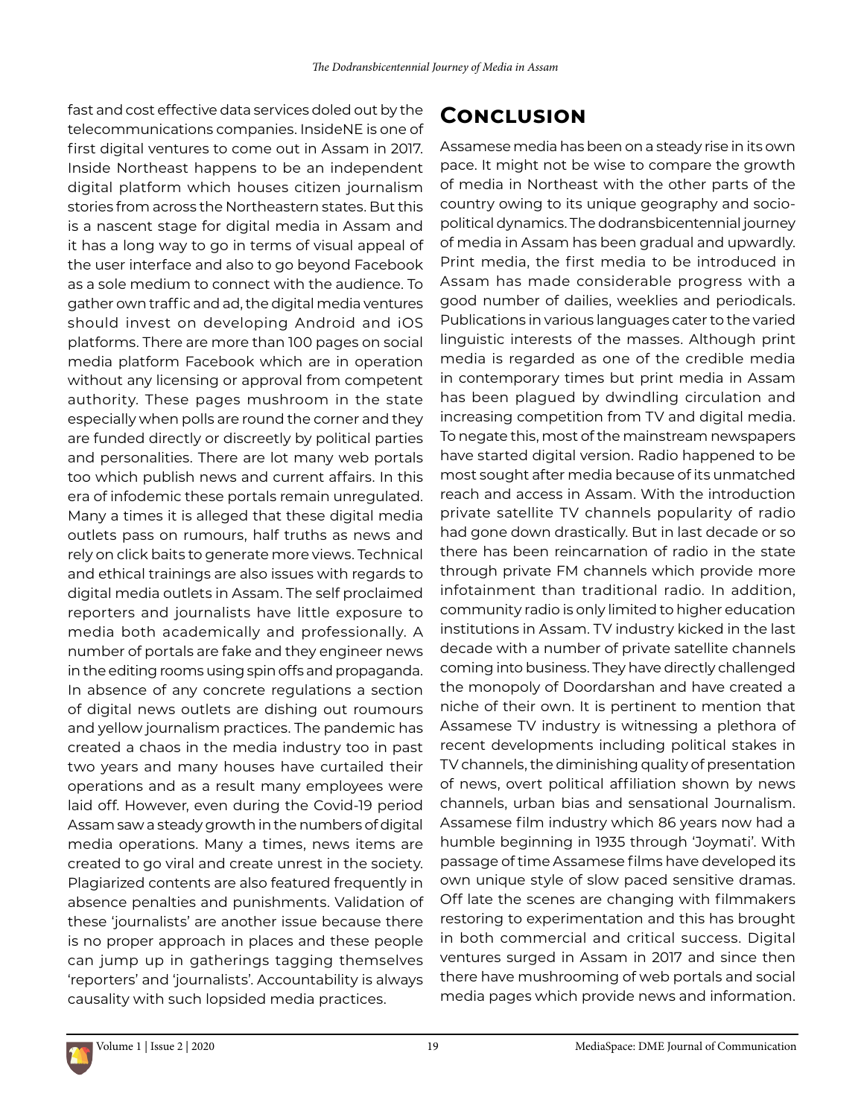fast and cost effective data services doled out by the telecommunications companies. InsideNE is one of first digital ventures to come out in Assam in 2017. Inside Northeast happens to be an independent digital platform which houses citizen journalism stories from across the Northeastern states. But this is a nascent stage for digital media in Assam and it has a long way to go in terms of visual appeal of the user interface and also to go beyond Facebook as a sole medium to connect with the audience. To gather own traffic and ad, the digital media ventures should invest on developing Android and iOS platforms. There are more than 100 pages on social media platform Facebook which are in operation without any licensing or approval from competent authority. These pages mushroom in the state especially when polls are round the corner and they are funded directly or discreetly by political parties and personalities. There are lot many web portals too which publish news and current affairs. In this era of infodemic these portals remain unregulated. Many a times it is alleged that these digital media outlets pass on rumours, half truths as news and rely on click baits to generate more views. Technical and ethical trainings are also issues with regards to digital media outlets in Assam. The self proclaimed reporters and journalists have little exposure to media both academically and professionally. A number of portals are fake and they engineer news in the editing rooms using spin offs and propaganda. In absence of any concrete regulations a section of digital news outlets are dishing out roumours and yellow journalism practices. The pandemic has created a chaos in the media industry too in past two years and many houses have curtailed their operations and as a result many employees were laid off. However, even during the Covid-19 period Assam saw a steady growth in the numbers of digital media operations. Many a times, news items are created to go viral and create unrest in the society. Plagiarized contents are also featured frequently in absence penalties and punishments. Validation of these 'journalists' are another issue because there is no proper approach in places and these people can jump up in gatherings tagging themselves 'reporters' and 'journalists'. Accountability is always causality with such lopsided media practices.

## **Conclusion**

Assamese media has been on a steady rise in its own pace. It might not be wise to compare the growth of media in Northeast with the other parts of the country owing to its unique geography and sociopolitical dynamics. The dodransbicentennial journey of media in Assam has been gradual and upwardly. Print media, the first media to be introduced in Assam has made considerable progress with a good number of dailies, weeklies and periodicals. Publications in various languages cater to the varied linguistic interests of the masses. Although print media is regarded as one of the credible media in contemporary times but print media in Assam has been plagued by dwindling circulation and increasing competition from TV and digital media. To negate this, most of the mainstream newspapers have started digital version. Radio happened to be most sought after media because of its unmatched reach and access in Assam. With the introduction private satellite TV channels popularity of radio had gone down drastically. But in last decade or so there has been reincarnation of radio in the state through private FM channels which provide more infotainment than traditional radio. In addition, community radio is only limited to higher education institutions in Assam. TV industry kicked in the last decade with a number of private satellite channels coming into business. They have directly challenged the monopoly of Doordarshan and have created a niche of their own. It is pertinent to mention that Assamese TV industry is witnessing a plethora of recent developments including political stakes in TV channels, the diminishing quality of presentation of news, overt political affiliation shown by news channels, urban bias and sensational Journalism. Assamese film industry which 86 years now had a humble beginning in 1935 through 'Joymati'. With passage of time Assamese films have developed its own unique style of slow paced sensitive dramas. Off late the scenes are changing with filmmakers restoring to experimentation and this has brought in both commercial and critical success. Digital ventures surged in Assam in 2017 and since then there have mushrooming of web portals and social media pages which provide news and information.